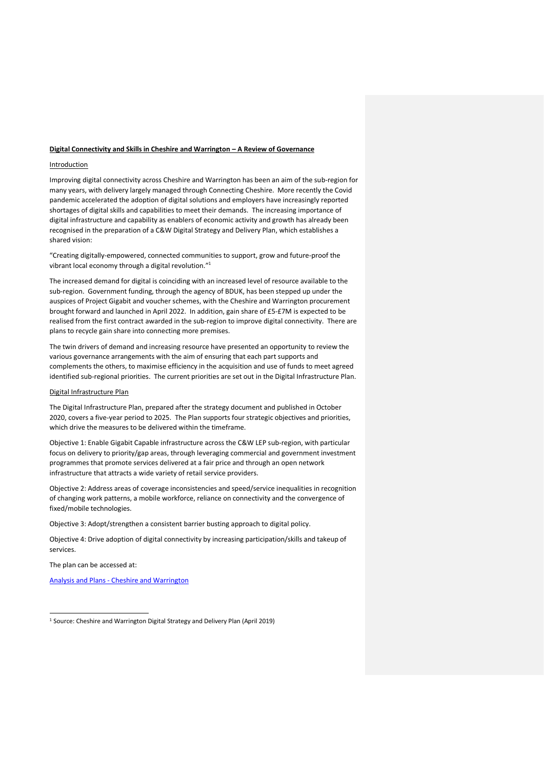#### **Digital Connectivity and Skills in Cheshire and Warrington – A Review of Governance**

### Introduction

Improving digital connectivity across Cheshire and Warrington has been an aim of the sub-region for many years, with delivery largely managed through Connecting Cheshire. More recently the Covid pandemic accelerated the adoption of digital solutions and employers have increasingly reported shortages of digital skills and capabilities to meet their demands. The increasing importance of digital infrastructure and capability as enablers of economic activity and growth has already been recognised in the preparation of a C&W Digital Strategy and Delivery Plan, which establishes a shared vision:

"Creating digitally-empowered, connected communities to support, grow and future-proof the vibrant local economy through a digital revolution."<sup>1</sup>

The increased demand for digital is coinciding with an increased level of resource available to the sub-region. Government funding, through the agency of BDUK, has been stepped up under the auspices of Project Gigabit and voucher schemes, with the Cheshire and Warrington procurement brought forward and launched in April 2022. In addition, gain share of £5-£7M is expected to be realised from the first contract awarded in the sub-region to improve digital connectivity. There are plans to recycle gain share into connecting more premises.

The twin drivers of demand and increasing resource have presented an opportunity to review the various governance arrangements with the aim of ensuring that each part supports and complements the others, to maximise efficiency in the acquisition and use of funds to meet agreed identified sub-regional priorities. The current priorities are set out in the Digital Infrastructure Plan.

#### Digital Infrastructure Plan

The Digital Infrastructure Plan, prepared after the strategy document and published in October 2020, covers a five-year period to 2025. The Plan supports four strategic objectives and priorities, which drive the measures to be delivered within the timeframe.

Objective 1: Enable Gigabit Capable infrastructure across the C&W LEP sub-region, with particular focus on delivery to priority/gap areas, through leveraging commercial and government investment programmes that promote services delivered at a fair price and through an open network infrastructure that attracts a wide variety of retail service providers.

Objective 2: Address areas of coverage inconsistencies and speed/service inequalities in recognition of changing work patterns, a mobile workforce, reliance on connectivity and the convergence of fixed/mobile technologies.

Objective 3: Adopt/strengthen a consistent barrier busting approach to digital policy.

Objective 4: Drive adoption of digital connectivity by increasing participation/skills and takeup of services.

The plan can be accessed at:

Analysis and Plans - [Cheshire and Warrington](https://cheshireandwarrington.com/what-we-do/analysis-and-plans/)

<sup>&</sup>lt;sup>1</sup> Source: Cheshire and Warrington Digital Strategy and Delivery Plan (April 2019)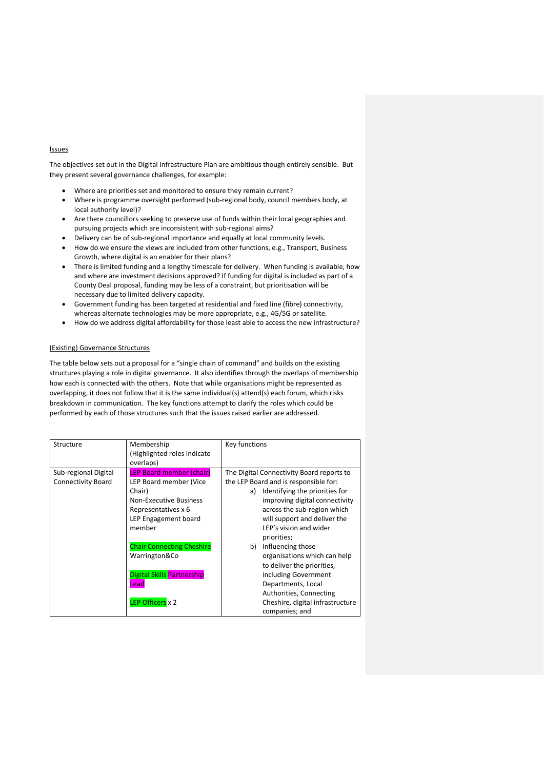## Issues

The objectives set out in the Digital Infrastructure Plan are ambitious though entirely sensible. But they present several governance challenges, for example:

- Where are priorities set and monitored to ensure they remain current?
- Where is programme oversight performed (sub-regional body, council members body, at local authority level)?
- Are there councillors seeking to preserve use of funds within their local geographies and pursuing projects which are inconsistent with sub-regional aims?
- Delivery can be of sub-regional importance and equally at local community levels.
- How do we ensure the views are included from other functions, e.g., Transport, Business Growth, where digital is an enabler for their plans?
- There is limited funding and a lengthy timescale for delivery. When funding is available, how and where are investment decisions approved? If funding for digital is included as part of a County Deal proposal, funding may be less of a constraint, but prioritisation will be necessary due to limited delivery capacity.
- Government funding has been targeted at residential and fixed line (fibre) connectivity, whereas alternate technologies may be more appropriate, e.g., 4G/5G or satellite.
- How do we address digital affordability for those least able to access the new infrastructure?

## (Existing) Governance Structures

The table below sets out a proposal for a "single chain of command" and builds on the existing structures playing a role in digital governance. It also identifies through the overlaps of membership how each is connected with the others. Note that while organisations might be represented as overlapping, it does not follow that it is the same individual(s) attend(s) each forum, which risks breakdown in communication. The key functions attempt to clarify the roles which could be performed by each of those structures such that the issues raised earlier are addressed.

| Structure                 | Membership<br>(Highlighted roles indicate<br>overlaps) | Key functions                             |
|---------------------------|--------------------------------------------------------|-------------------------------------------|
| Sub-regional Digital      | <b>LEP Board member (chair)</b>                        | The Digital Connectivity Board reports to |
| <b>Connectivity Board</b> | LEP Board member (Vice                                 | the LEP Board and is responsible for:     |
|                           | Chair)                                                 | Identifying the priorities for<br>a)      |
|                           | <b>Non-Executive Business</b>                          | improving digital connectivity            |
|                           | Representatives x 6                                    | across the sub-region which               |
|                           | LEP Engagement board                                   | will support and deliver the              |
|                           | member                                                 | LEP's vision and wider                    |
|                           |                                                        | priorities;                               |
|                           | <b>Chair Connecting Cheshire</b>                       | Influencing those<br>b)                   |
|                           | Warrington&Co                                          | organisations which can help              |
|                           |                                                        | to deliver the priorities,                |
|                           | <b>Digital Skills Partnership</b>                      | including Government                      |
|                           | Lead                                                   | Departments, Local                        |
|                           |                                                        | Authorities, Connecting                   |
|                           | LEP Officers x 2                                       | Cheshire, digital infrastructure          |
|                           |                                                        | companies; and                            |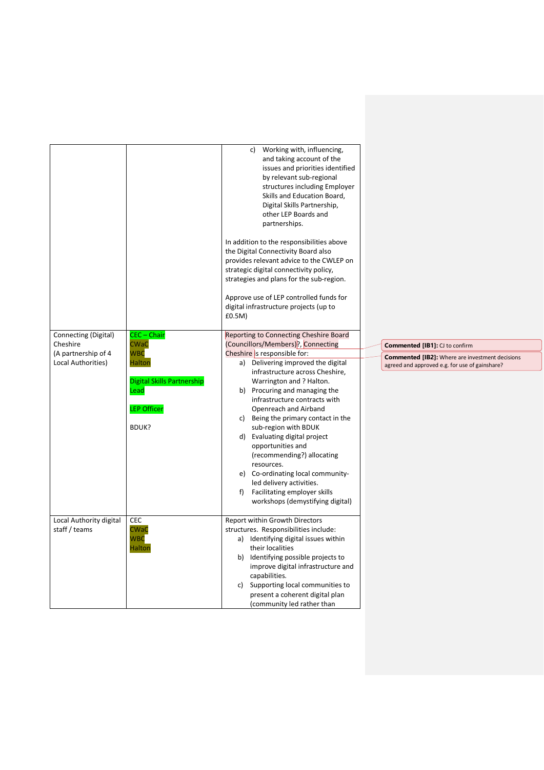|                                  |                                   | Working with, influencing,<br>c)<br>and taking account of the<br>issues and priorities identified<br>by relevant sub-regional<br>structures including Employer<br>Skills and Education Board,<br>Digital Skills Partnership,<br>other LEP Boards and<br>partnerships.<br>In addition to the responsibilities above<br>the Digital Connectivity Board also<br>provides relevant advice to the CWLEP on<br>strategic digital connectivity policy,<br>strategies and plans for the sub-region.<br>Approve use of LEP controlled funds for<br>digital infrastructure projects (up to<br>£0.5M) |                                                                                                          |
|----------------------------------|-----------------------------------|--------------------------------------------------------------------------------------------------------------------------------------------------------------------------------------------------------------------------------------------------------------------------------------------------------------------------------------------------------------------------------------------------------------------------------------------------------------------------------------------------------------------------------------------------------------------------------------------|----------------------------------------------------------------------------------------------------------|
|                                  | CEC - Chair                       |                                                                                                                                                                                                                                                                                                                                                                                                                                                                                                                                                                                            |                                                                                                          |
| Connecting (Digital)<br>Cheshire | <b>CWaC</b>                       | Reporting to Connecting Cheshire Board<br>(Councillors/Members)?, Connecting                                                                                                                                                                                                                                                                                                                                                                                                                                                                                                               | <b>Commented [IB1]: CJ to confirm</b>                                                                    |
| (A partnership of 4              | <b>WBC</b>                        | Cheshire is responsible for:                                                                                                                                                                                                                                                                                                                                                                                                                                                                                                                                                               |                                                                                                          |
| Local Authorities)               | <b>Halton</b>                     | a) Delivering improved the digital                                                                                                                                                                                                                                                                                                                                                                                                                                                                                                                                                         | <b>Commented [IB2]:</b> Where are investment decisions<br>agreed and approved e.g. for use of gainshare? |
|                                  |                                   | infrastructure across Cheshire,                                                                                                                                                                                                                                                                                                                                                                                                                                                                                                                                                            |                                                                                                          |
|                                  | <b>Digital Skills Partnership</b> | Warrington and ? Halton.                                                                                                                                                                                                                                                                                                                                                                                                                                                                                                                                                                   |                                                                                                          |
|                                  | Lead                              | b) Procuring and managing the<br>infrastructure contracts with                                                                                                                                                                                                                                                                                                                                                                                                                                                                                                                             |                                                                                                          |
|                                  | <b>LEP Officer</b>                | Openreach and Airband                                                                                                                                                                                                                                                                                                                                                                                                                                                                                                                                                                      |                                                                                                          |
|                                  |                                   | c) Being the primary contact in the                                                                                                                                                                                                                                                                                                                                                                                                                                                                                                                                                        |                                                                                                          |
|                                  | BDUK?                             | sub-region with BDUK                                                                                                                                                                                                                                                                                                                                                                                                                                                                                                                                                                       |                                                                                                          |
|                                  |                                   | d) Evaluating digital project                                                                                                                                                                                                                                                                                                                                                                                                                                                                                                                                                              |                                                                                                          |
|                                  |                                   | opportunities and                                                                                                                                                                                                                                                                                                                                                                                                                                                                                                                                                                          |                                                                                                          |
|                                  |                                   | (recommending?) allocating<br>resources.                                                                                                                                                                                                                                                                                                                                                                                                                                                                                                                                                   |                                                                                                          |
|                                  |                                   | e) Co-ordinating local community-                                                                                                                                                                                                                                                                                                                                                                                                                                                                                                                                                          |                                                                                                          |
|                                  |                                   | led delivery activities.                                                                                                                                                                                                                                                                                                                                                                                                                                                                                                                                                                   |                                                                                                          |
|                                  |                                   | f) Facilitating employer skills                                                                                                                                                                                                                                                                                                                                                                                                                                                                                                                                                            |                                                                                                          |
|                                  |                                   | workshops (demystifying digital)                                                                                                                                                                                                                                                                                                                                                                                                                                                                                                                                                           |                                                                                                          |
| Local Authority digital          | CEC                               | Report within Growth Directors                                                                                                                                                                                                                                                                                                                                                                                                                                                                                                                                                             |                                                                                                          |
| staff / teams                    | <b>CWaC</b>                       | structures. Responsibilities include:                                                                                                                                                                                                                                                                                                                                                                                                                                                                                                                                                      |                                                                                                          |
|                                  | <b>WBC</b>                        | a) Identifying digital issues within                                                                                                                                                                                                                                                                                                                                                                                                                                                                                                                                                       |                                                                                                          |
|                                  | <b>Halton</b>                     | their localities                                                                                                                                                                                                                                                                                                                                                                                                                                                                                                                                                                           |                                                                                                          |
|                                  |                                   | b) Identifying possible projects to                                                                                                                                                                                                                                                                                                                                                                                                                                                                                                                                                        |                                                                                                          |
|                                  |                                   | improve digital infrastructure and                                                                                                                                                                                                                                                                                                                                                                                                                                                                                                                                                         |                                                                                                          |
|                                  |                                   | capabilities.<br>Supporting local communities to<br>c)                                                                                                                                                                                                                                                                                                                                                                                                                                                                                                                                     |                                                                                                          |
|                                  |                                   | present a coherent digital plan                                                                                                                                                                                                                                                                                                                                                                                                                                                                                                                                                            |                                                                                                          |
|                                  |                                   | (community led rather than                                                                                                                                                                                                                                                                                                                                                                                                                                                                                                                                                                 |                                                                                                          |

 $\overline{a}$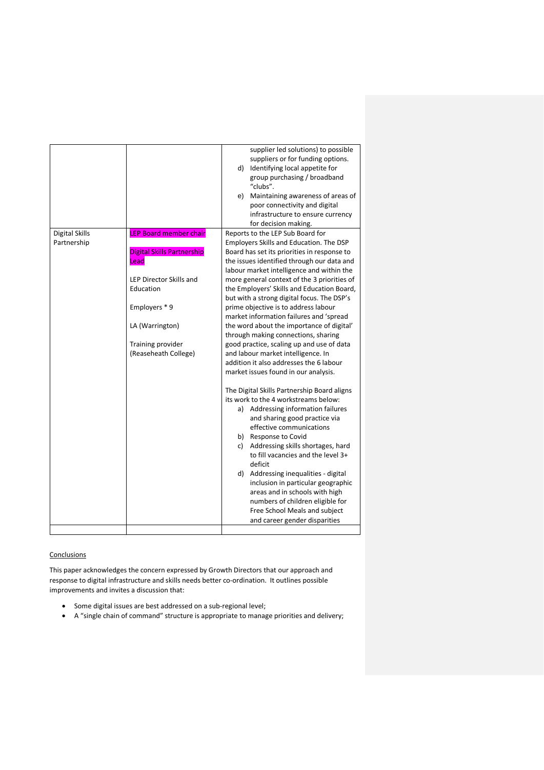|                       |                                | supplier led solutions) to possible         |  |
|-----------------------|--------------------------------|---------------------------------------------|--|
|                       |                                | suppliers or for funding options.           |  |
|                       |                                | d) Identifying local appetite for           |  |
|                       |                                | group purchasing / broadband                |  |
|                       |                                | "clubs".                                    |  |
|                       |                                | e) Maintaining awareness of areas of        |  |
|                       |                                | poor connectivity and digital               |  |
|                       |                                | infrastructure to ensure currency           |  |
|                       |                                | for decision making.                        |  |
| <b>Digital Skills</b> | <b>LEP Board member chair</b>  | Reports to the LEP Sub Board for            |  |
| Partnership           |                                | Employers Skills and Education. The DSP     |  |
|                       | Digital Skills Partnership     | Board has set its priorities in response to |  |
|                       | Lead                           | the issues identified through our data and  |  |
|                       |                                | labour market intelligence and within the   |  |
|                       | <b>LEP Director Skills and</b> | more general context of the 3 priorities of |  |
|                       | Education                      | the Employers' Skills and Education Board,  |  |
|                       |                                |                                             |  |
|                       |                                | but with a strong digital focus. The DSP's  |  |
|                       | Employers *9                   | prime objective is to address labour        |  |
|                       |                                | market information failures and 'spread     |  |
|                       | LA (Warrington)                | the word about the importance of digital'   |  |
|                       |                                | through making connections, sharing         |  |
|                       | Training provider              | good practice, scaling up and use of data   |  |
|                       | (Reaseheath College)           | and labour market intelligence. In          |  |
|                       |                                | addition it also addresses the 6 labour     |  |
|                       |                                | market issues found in our analysis.        |  |
|                       |                                |                                             |  |
|                       |                                | The Digital Skills Partnership Board aligns |  |
|                       |                                | its work to the 4 workstreams below:        |  |
|                       |                                | a) Addressing information failures          |  |
|                       |                                | and sharing good practice via               |  |
|                       |                                | effective communications                    |  |
|                       |                                | b) Response to Covid                        |  |
|                       |                                | c) Addressing skills shortages, hard        |  |
|                       |                                | to fill vacancies and the level 3+          |  |
|                       |                                | deficit                                     |  |
|                       |                                | d) Addressing inequalities - digital        |  |
|                       |                                | inclusion in particular geographic          |  |
|                       |                                | areas and in schools with high              |  |
|                       |                                | numbers of children eligible for            |  |
|                       |                                | Free School Meals and subject               |  |
|                       |                                | and career gender disparities               |  |
|                       |                                |                                             |  |
|                       |                                |                                             |  |

# **Conclusions**

This paper acknowledges the concern expressed by Growth Directors that our approach and response to digital infrastructure and skills needs better co-ordination. It outlines possible improvements and invites a discussion that:

- Some digital issues are best addressed on a sub-regional level;
- A "single chain of command" structure is appropriate to manage priorities and delivery;